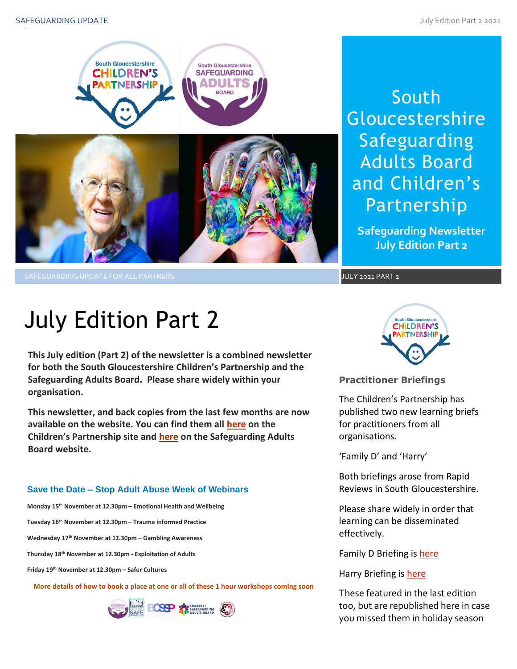

SAFEGUARDING UPDATE FOR ALL PARTNERS AND SAFEGUARDING UPDATE 2021 P<mark>JULY 2021 PART 2</mark>

# South **Gloucestershire** Safeguarding Adults Board and Children's Partnership

**Safeguarding Newsletter July Edition Part 2**

# July Edition Part 2

**This July edition (Part 2) of the newsletter is a combined newsletter for both the South Gloucestershire Children's Partnership and the Safeguarding Adults Board. Please share widely within your organisation.**

**This newsletter, and back copies from the last few months are now available on the website. You can find them all [here](https://sites.southglos.gov.uk/safeguarding/children/safeguarding-children-board/scb-minutes-of-meetings/) on the Children's Partnership site and [here](https://sites.southglos.gov.uk/safeguarding/adults/safeguarding-adults-board/newsletters-2/) on the Safeguarding Adults Board website.**

# **Save the Date – Stop Adult Abuse Week of Webinars**

**Monday 15th November at 12.30pm – Emotional Health and Wellbeing**

**Tuesday 16th November at 12.30pm – Trauma informed Practice**

**Wednesday 17th November at 12.30pm – Gambling Awareness**

**Thursday 18th November at 12.30pm - Exploitation of Adults**

**Friday 19th November at 12.30pm – Safer Cultures**

**More details of how to book a place at one or all of these 1 hour workshops coming soon**





# **Practitioner Briefings**

The Children's Partnership has published two new learning briefs for practitioners from all organisations.

'Family D' and 'Harry'

Both briefings arose from Rapid Reviews in South Gloucestershire.

Please share widely in order that<br>learning can be disseminated learning can be disseminated effectively.

Family D Briefing is [here](http://sites.southglos.gov.uk/safeguarding/wp-content/uploads/sites/221/2015/05/Rapid-Review-Learning-Brief-version-1.pdf)

Harry Briefing is [here](http://sites.southglos.gov.uk/safeguarding/wp-content/uploads/sites/221/2015/05/Harry-Learning-Brief-May-2021.pdf)

These featured in the last edition too, but are republished here in case you missed them in holiday season